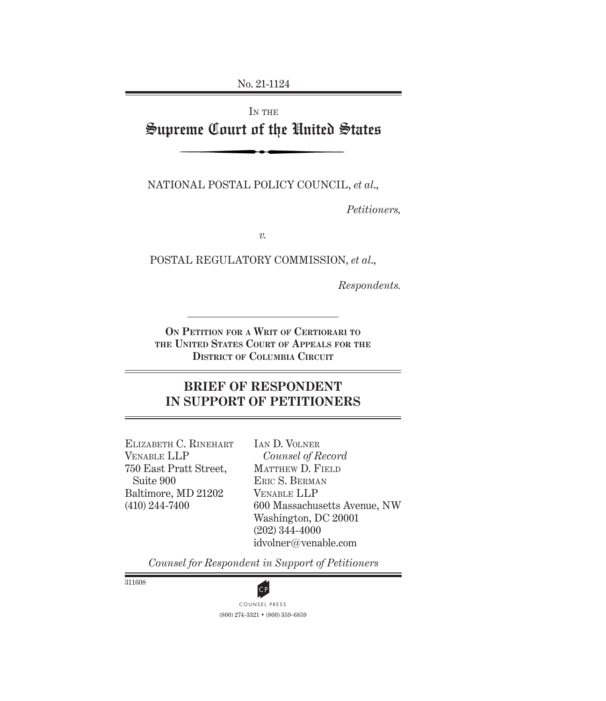No. 21-1124

# IN THE Supreme Court of the United States

NATIONAL POSTAL POLICY COUNCIL, *et al*.,

*Petitioners,*

*v.*

POSTAL REGULATORY COMMISSION, *et al*.,

*Respondents.*

**On Petition for a Writ of Certiorari to the United States Court of Appeals for the District of Columbia Circuit**

### **BRIEF OF RESPONDENT IN SUPPORT OF PETITIONERS**

Elizabeth C. Rinehart Venable LLP 750 East Pratt Street, Suite 900 Baltimore, MD 21202 (410) 244-7400

Ian D. Volner *Counsel of Record* Matthew D. Field Eric S. Berman Venable LLP 600 Massachusetts Avenue, NW Washington, DC 20001 (202) 344-4000 idvolner@venable.com

*Counsel for Respondent in Support of Petitioners*

311608



(800) 274-3321 • (800) 359-6859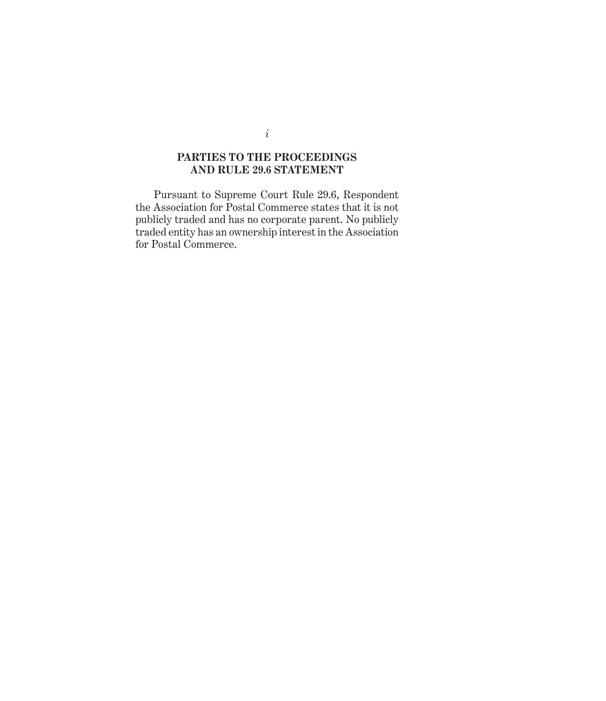### **PARTIES TO THE PROCEEDINGS AND RULE 29.6 STATEMENT**

Pursuant to Supreme Court Rule 29.6, Respondent the Association for Postal Commerce states that it is not publicly traded and has no corporate parent. No publicly traded entity has an ownership interest in the Association for Postal Commerce.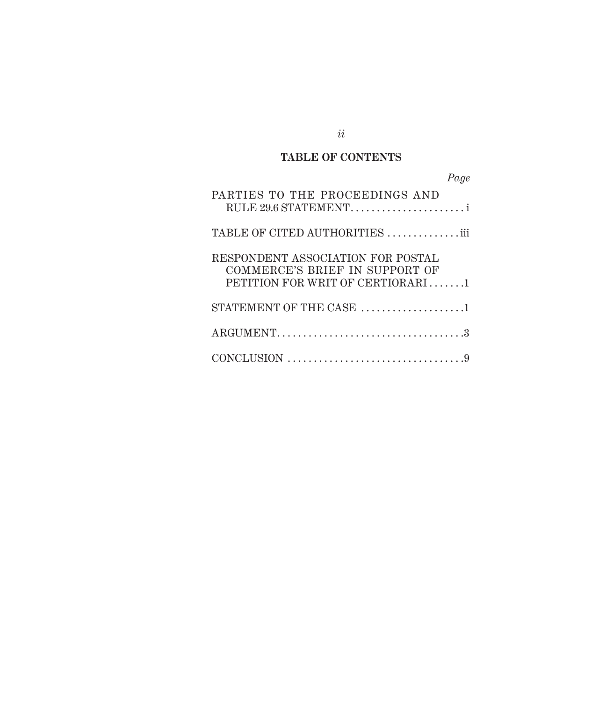# **TABLE OF CONTENTS**

| Page                                                                                                    |
|---------------------------------------------------------------------------------------------------------|
| PARTIES TO THE PROCEEDINGS AND                                                                          |
| TABLE OF CITED AUTHORITIES iii                                                                          |
| RESPONDENT ASSOCIATION FOR POSTAL<br>COMMERCE'S BRIEF IN SUPPORT OF<br>PETITION FOR WRIT OF CERTIORARI1 |
| STATEMENT OF THE CASE 1                                                                                 |
|                                                                                                         |
|                                                                                                         |

*ii*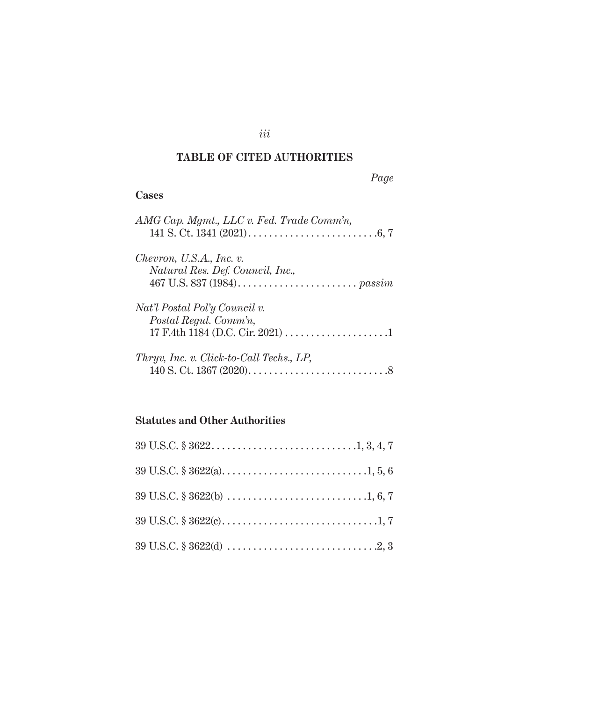# **TABLE OF CITED AUTHORITIES**

### *Page*

### **Cases**

| AMG Cap. Mgmt., LLC v. Fed. Trade Comm'n,                       |
|-----------------------------------------------------------------|
| Chevron, U.S.A., Inc. $v$ .<br>Natural Res. Def. Council, Inc., |
| Nat'l Postal Pol'y Council v.<br>Postal Regul. Comm'n,          |
| <i>Thryv, Inc. v. Click-to-Call Techs., LP,</i>                 |

# **Statutes and Other Authorities**

*iii*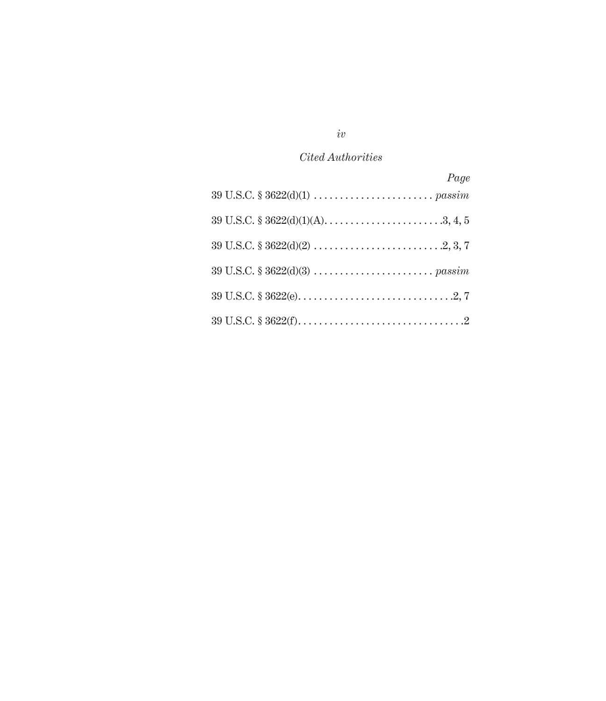## *Cited Authorities*

| Page                                                                                                                                          |
|-----------------------------------------------------------------------------------------------------------------------------------------------|
|                                                                                                                                               |
|                                                                                                                                               |
|                                                                                                                                               |
|                                                                                                                                               |
|                                                                                                                                               |
| $39 \text{ U.S.C.} \$ $3622 \text{(f)} \dots \dots \dots \dots \dots \dots \dots \dots \dots \dots \dots \dots \dots \dots \dots \dots \dots$ |

# *iv*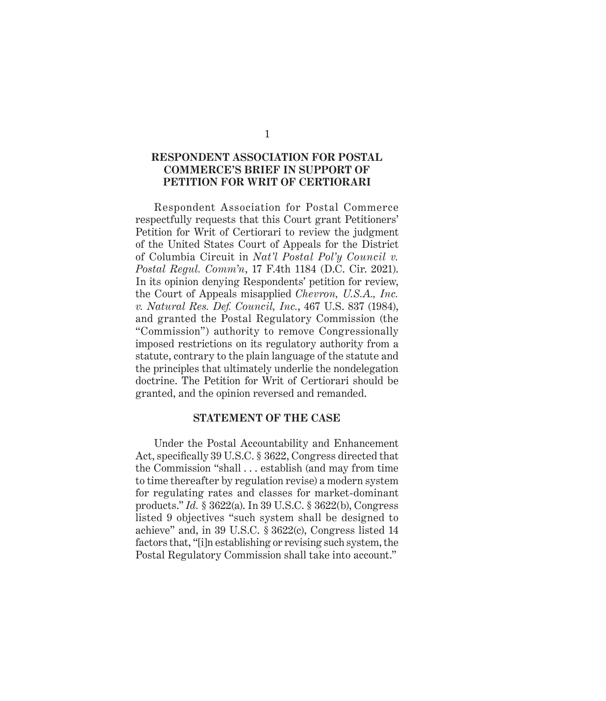#### **RESPONDENT ASSOCIATION FOR POSTAL COMMERCE'S BRIEF IN SUPPORT OF PETITION FOR WRIT OF CERTIORARI**

Respondent Association for Postal Commerce respectfully requests that this Court grant Petitioners' Petition for Writ of Certiorari to review the judgment of the United States Court of Appeals for the District of Columbia Circuit in *Nat'l Postal Pol'y Council v. Postal Regul. Comm'n*, 17 F.4th 1184 (D.C. Cir. 2021). In its opinion denying Respondents' petition for review, the Court of Appeals misapplied *Chevron, U.S.A., Inc. v. Natural Res. Def. Council, Inc.*, 467 U.S. 837 (1984), and granted the Postal Regulatory Commission (the "Commission") authority to remove Congressionally imposed restrictions on its regulatory authority from a statute, contrary to the plain language of the statute and the principles that ultimately underlie the nondelegation doctrine. The Petition for Writ of Certiorari should be granted, and the opinion reversed and remanded.

#### **STATEMENT OF THE CASE**

Under the Postal Accountability and Enhancement Act, specifically 39 U.S.C. § 3622, Congress directed that the Commission "shall . . . establish (and may from time to time thereafter by regulation revise) a modern system for regulating rates and classes for market-dominant products." *Id.* § 3622(a). In 39 U.S.C. § 3622(b), Congress listed 9 objectives "such system shall be designed to achieve" and, in 39 U.S.C. § 3622(c), Congress listed 14 factors that, "[i]n establishing or revising such system, the Postal Regulatory Commission shall take into account."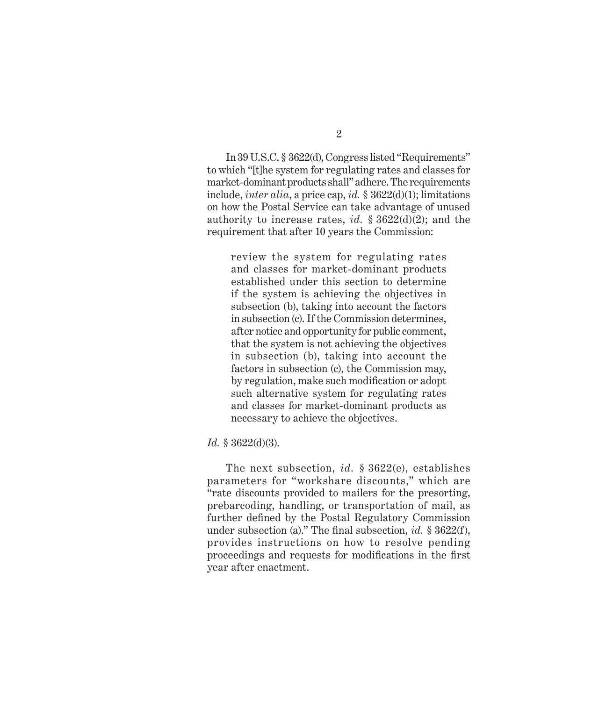In 39 U.S.C. § 3622(d), Congress listed "Requirements" to which "[t]he system for regulating rates and classes for market-dominant products shall" adhere. The requirements include, *inter alia*, a price cap, *id.* § 3622(d)(1); limitations on how the Postal Service can take advantage of unused authority to increase rates, *id.* § 3622(d)(2); and the requirement that after 10 years the Commission:

review the system for regulating rates and classes for market-dominant products established under this section to determine if the system is achieving the objectives in subsection (b), taking into account the factors in subsection (c). If the Commission determines, after notice and opportunity for public comment, that the system is not achieving the objectives in subsection (b), taking into account the factors in subsection (c), the Commission may, by regulation, make such modification or adopt such alternative system for regulating rates and classes for market-dominant products as necessary to achieve the objectives.

#### *Id.* § 3622(d)(3).

The next subsection, *id.* § 3622(e), establishes parameters for "workshare discounts," which are "rate discounts provided to mailers for the presorting, prebarcoding, handling, or transportation of mail, as further defined by the Postal Regulatory Commission under subsection (a)." The final subsection, *id.* § 3622(f), provides instructions on how to resolve pending proceedings and requests for modifications in the first year after enactment.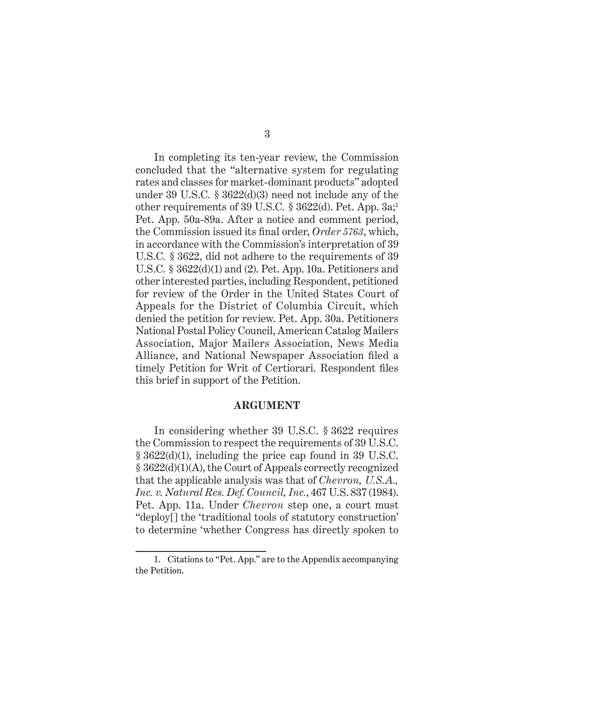In completing its ten-year review, the Commission concluded that the "alternative system for regulating rates and classes for market-dominant products" adopted under 39 U.S.C*.* § 3622(d)(3) need not include any of the other requirements of 39 U.S.C*.* § 3622(d). Pet. App. 3a;1 Pet. App. 50a-89a. After a notice and comment period, the Commission issued its final order, *Order 5763*, which, in accordance with the Commission's interpretation of 39 U.S.C*.* § 3622, did not adhere to the requirements of 39 U.S.C*.* § 3622(d)(1) and (2). Pet. App. 10a. Petitioners and other interested parties, including Respondent, petitioned for review of the Order in the United States Court of Appeals for the District of Columbia Circuit, which denied the petition for review. Pet. App. 30a. Petitioners National Postal Policy Council, American Catalog Mailers Association, Major Mailers Association, News Media Alliance, and National Newspaper Association filed a timely Petition for Writ of Certiorari. Respondent files this brief in support of the Petition.

#### **ARGUMENT**

In considering whether 39 U.S.C. § 3622 requires the Commission to respect the requirements of 39 U.S.C. § 3622(d)(1), including the price cap found in 39 U.S.C. § 3622(d)(1)(A), the Court of Appeals correctly recognized that the applicable analysis was that of *Chevron, U.S.A., Inc. v. Natural Res. Def. Council, Inc.*, 467 U.S. 837 (1984). Pet. App. 11a. Under *Chevron* step one, a court must "deploy[] the 'traditional tools of statutory construction' to determine 'whether Congress has directly spoken to

<sup>1.</sup> Citations to "Pet. App." are to the Appendix accompanying the Petition.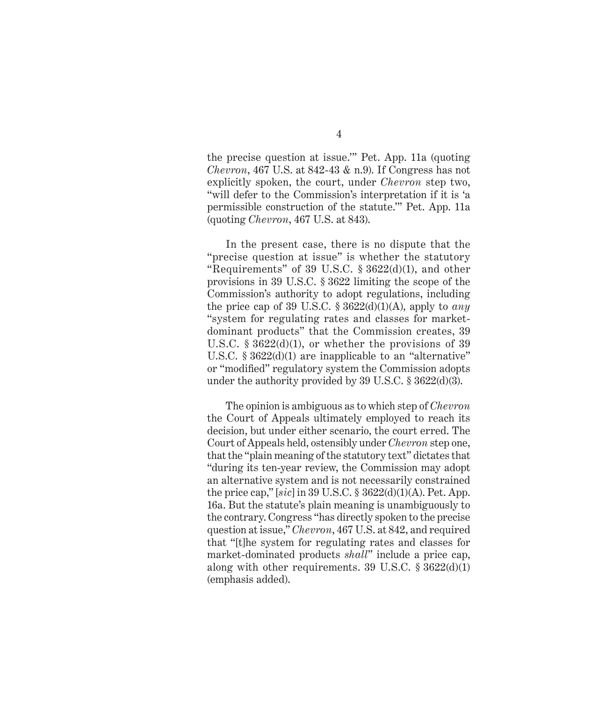the precise question at issue.'" Pet. App. 11a (quoting *Chevron*, 467 U.S. at 842-43 & n.9). If Congress has not explicitly spoken, the court, under *Chevron* step two, "will defer to the Commission's interpretation if it is 'a permissible construction of the statute.'" Pet. App. 11a (quoting *Chevron*, 467 U.S. at 843).

In the present case, there is no dispute that the "precise question at issue" is whether the statutory "Requirements" of 39 U.S.C.  $\S 3622(d)(1)$ , and other provisions in 39 U.S.C. § 3622 limiting the scope of the Commission's authority to adopt regulations, including the price cap of 39 U.S.C.  $\S 3622(d)(1)(A)$ , apply to *any* "system for regulating rates and classes for marketdominant products" that the Commission creates, 39 U.S.C.  $\S 3622(d)(1)$ , or whether the provisions of 39 U.S.C. § 3622(d)(1) are inapplicable to an "alternative" or "modified" regulatory system the Commission adopts under the authority provided by 39 U.S.C. § 3622(d)(3).

The opinion is ambiguous as to which step of *Chevron* the Court of Appeals ultimately employed to reach its decision, but under either scenario, the court erred. The Court of Appeals held, ostensibly under *Chevron* step one, that the "plain meaning of the statutory text" dictates that "during its ten-year review, the Commission may adopt an alternative system and is not necessarily constrained the price cap," [*sic*] in 39 U.S.C. § 3622(d)(1)(A). Pet. App. 16a. But the statute's plain meaning is unambiguously to the contrary. Congress "has directly spoken to the precise question at issue," *Chevron*, 467 U.S. at 842, and required that "[t]he system for regulating rates and classes for market-dominated products *shall*" include a price cap, along with other requirements. 39 U.S.C.  $\S 3622(d)(1)$ (emphasis added).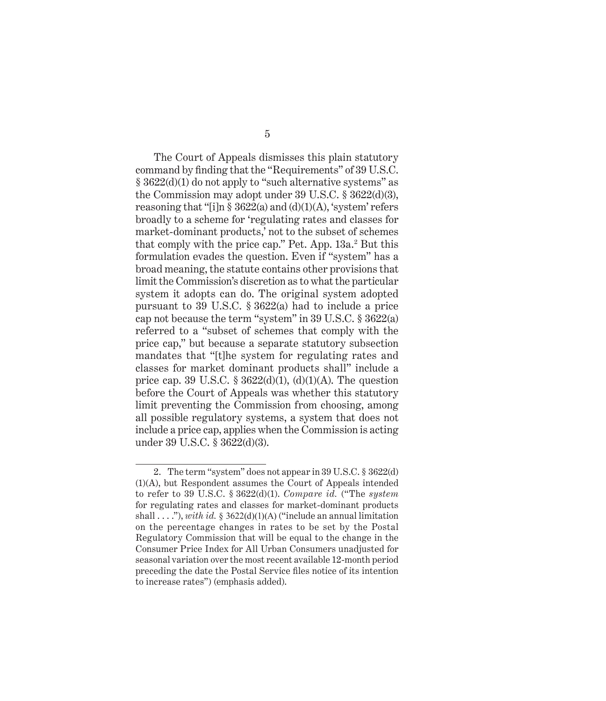The Court of Appeals dismisses this plain statutory command by finding that the "Requirements" of 39 U.S.C. § 3622(d)(1) do not apply to "such alternative systems" as the Commission may adopt under 39 U.S.C. § 3622(d)(3), reasoning that "[i]n  $\S 3622(a)$  and  $(d)(1)(A)$ , 'system' refers broadly to a scheme for 'regulating rates and classes for market-dominant products,' not to the subset of schemes that comply with the price cap." Pet. App. 13a.<sup>2</sup> But this formulation evades the question. Even if "system" has a broad meaning, the statute contains other provisions that limit the Commission's discretion as to what the particular system it adopts can do. The original system adopted pursuant to 39 U.S.C. § 3622(a) had to include a price cap not because the term "system" in 39 U.S.C. § 3622(a) referred to a "subset of schemes that comply with the price cap," but because a separate statutory subsection mandates that "[t]he system for regulating rates and classes for market dominant products shall" include a price cap. 39 U.S.C.  $\S 3622(d)(1)$ ,  $(d)(1)(A)$ . The question before the Court of Appeals was whether this statutory limit preventing the Commission from choosing, among all possible regulatory systems, a system that does not include a price cap, applies when the Commission is acting under 39 U.S.C. § 3622(d)(3).

<sup>2.</sup> The term "system" does not appear in 39 U.S.C. § 3622(d) (1)(A), but Respondent assumes the Court of Appeals intended to refer to 39 U.S.C. § 3622(d)(1). *Compare id.* ("The *system* for regulating rates and classes for market-dominant products shall  $\dots$ "), with id. § 3622(d)(1)(A) ("include an annual limitation on the percentage changes in rates to be set by the Postal Regulatory Commission that will be equal to the change in the Consumer Price Index for All Urban Consumers unadjusted for seasonal variation over the most recent available 12-month period preceding the date the Postal Service files notice of its intention to increase rates") (emphasis added).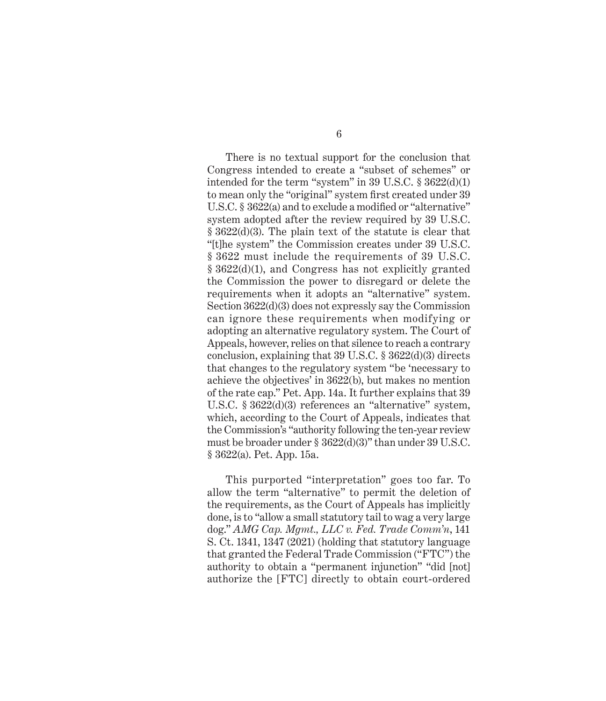There is no textual support for the conclusion that Congress intended to create a "subset of schemes" or intended for the term "system" in 39 U.S.C. § 3622(d)(1) to mean only the "original" system first created under 39 U.S.C. § 3622(a) and to exclude a modified or "alternative" system adopted after the review required by 39 U.S.C. § 3622(d)(3). The plain text of the statute is clear that "[t]he system" the Commission creates under 39 U.S.C. § 3622 must include the requirements of 39 U.S.C. § 3622(d)(1), and Congress has not explicitly granted the Commission the power to disregard or delete the requirements when it adopts an "alternative" system. Section 3622(d)(3) does not expressly say the Commission can ignore these requirements when modifying or adopting an alternative regulatory system. The Court of Appeals, however, relies on that silence to reach a contrary conclusion, explaining that 39 U.S.C. § 3622(d)(3) directs that changes to the regulatory system "be 'necessary to achieve the objectives' in 3622(b), but makes no mention of the rate cap." Pet. App. 14a. It further explains that 39 U.S.C. § 3622(d)(3) references an "alternative" system, which, according to the Court of Appeals, indicates that the Commission's "authority following the ten-year review must be broader under § 3622(d)(3)" than under 39 U.S.C. § 3622(a). Pet. App. 15a.

This purported "interpretation" goes too far. To allow the term "alternative" to permit the deletion of the requirements, as the Court of Appeals has implicitly done, is to "allow a small statutory tail to wag a very large dog." *AMG Cap. Mgmt., LLC v. Fed. Trade Comm'n*, 141 S. Ct. 1341, 1347 (2021) (holding that statutory language that granted the Federal Trade Commission ("FTC") the authority to obtain a "permanent injunction" "did [not] authorize the [FTC] directly to obtain court-ordered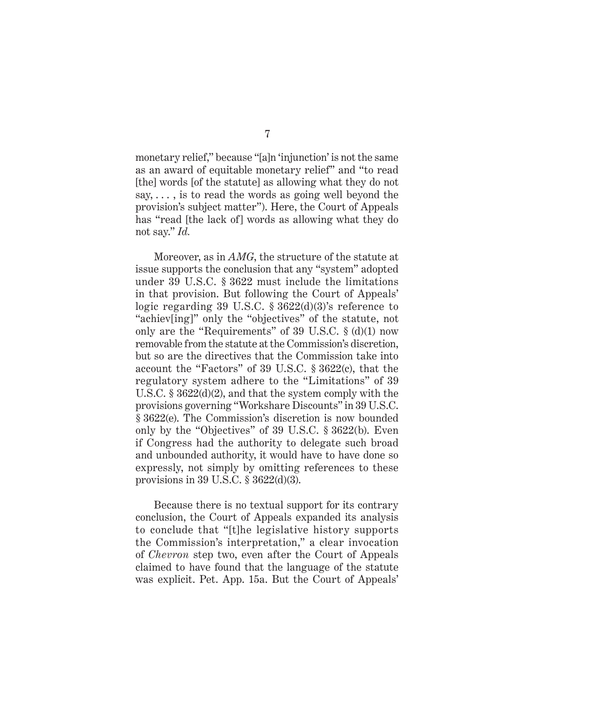monetary relief," because "[a]n 'injunction' is not the same as an award of equitable monetary relief" and "to read [the] words [of the statute] as allowing what they do not say, . . . , is to read the words as going well beyond the provision's subject matter"). Here, the Court of Appeals has "read [the lack of] words as allowing what they do not say." *Id.*

Moreover, as in *AMG*, the structure of the statute at issue supports the conclusion that any "system" adopted under 39 U.S.C. § 3622 must include the limitations in that provision. But following the Court of Appeals' logic regarding 39 U.S.C. § 3622(d)(3)'s reference to "achiev[ing]" only the "objectives" of the statute, not only are the "Requirements" of  $39$  U.S.C.  $\S$  (d)(1) now removable from the statute at the Commission's discretion, but so are the directives that the Commission take into account the "Factors" of 39 U.S.C. § 3622(c), that the regulatory system adhere to the "Limitations" of 39 U.S.C. § 3622(d)(2), and that the system comply with the provisions governing "Workshare Discounts" in 39 U.S.C. § 3622(e). The Commission's discretion is now bounded only by the "Objectives" of 39 U.S.C. § 3622(b). Even if Congress had the authority to delegate such broad and unbounded authority, it would have to have done so expressly, not simply by omitting references to these provisions in 39 U.S.C. § 3622(d)(3).

Because there is no textual support for its contrary conclusion, the Court of Appeals expanded its analysis to conclude that "[t]he legislative history supports the Commission's interpretation," a clear invocation of *Chevron* step two, even after the Court of Appeals claimed to have found that the language of the statute was explicit. Pet. App. 15a. But the Court of Appeals'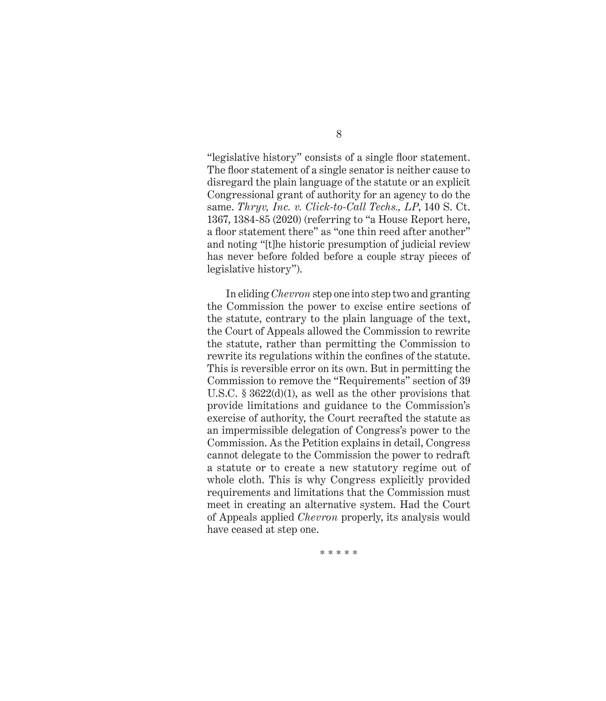"legislative history" consists of a single floor statement. The floor statement of a single senator is neither cause to disregard the plain language of the statute or an explicit Congressional grant of authority for an agency to do the same. *Thryv, Inc. v. Click-to-Call Techs., LP*, 140 S. Ct. 1367, 1384-85 (2020) (referring to "a House Report here, a floor statement there" as "one thin reed after another" and noting "[t]he historic presumption of judicial review has never before folded before a couple stray pieces of legislative history").

In eliding *Chevron* step one into step two and granting the Commission the power to excise entire sections of the statute, contrary to the plain language of the text, the Court of Appeals allowed the Commission to rewrite the statute, rather than permitting the Commission to rewrite its regulations within the confines of the statute. This is reversible error on its own. But in permitting the Commission to remove the "Requirements" section of 39 U.S.C. § 3622(d)(1), as well as the other provisions that provide limitations and guidance to the Commission's exercise of authority, the Court recrafted the statute as an impermissible delegation of Congress's power to the Commission. As the Petition explains in detail, Congress cannot delegate to the Commission the power to redraft a statute or to create a new statutory regime out of whole cloth. This is why Congress explicitly provided requirements and limitations that the Commission must meet in creating an alternative system. Had the Court of Appeals applied *Chevron* properly, its analysis would have ceased at step one.

\* \* \* \* \*